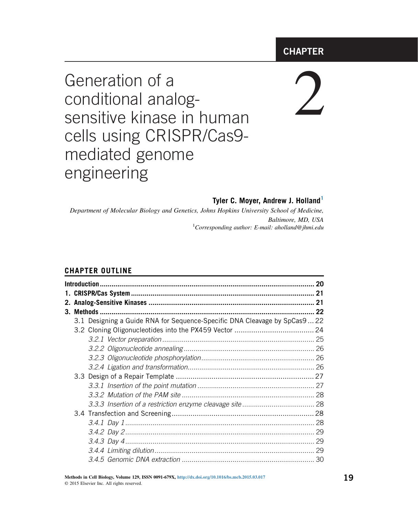# **CHAPTER**

# Generation of a conditional analogsensitive kinase in human cells using CRISPR/Cas9 mediated genome engineering

# 2

#### **Tyler C. Moyer, Andrew J. Holland<sup>1</sup>**

Department of Molecular Biology and Genetics, Johns Hopkins University School of Medicine, Baltimore, MD, USA <sup>1</sup> Corresponding author: E-mail: aholland@jhmi.edu

#### **CHAPTER OUTLINE**

|    | 20                                                                         |    |  |  |
|----|----------------------------------------------------------------------------|----|--|--|
| 21 |                                                                            |    |  |  |
|    |                                                                            |    |  |  |
| 3. |                                                                            |    |  |  |
|    | 3.1 Designing a Guide RNA for Sequence-Specific DNA Cleavage by SpCas9  22 |    |  |  |
|    |                                                                            |    |  |  |
|    |                                                                            |    |  |  |
|    |                                                                            |    |  |  |
|    |                                                                            |    |  |  |
|    |                                                                            |    |  |  |
|    |                                                                            |    |  |  |
|    |                                                                            |    |  |  |
|    |                                                                            |    |  |  |
|    |                                                                            |    |  |  |
|    |                                                                            |    |  |  |
|    |                                                                            |    |  |  |
|    |                                                                            | 29 |  |  |
|    |                                                                            |    |  |  |
|    |                                                                            |    |  |  |
|    |                                                                            |    |  |  |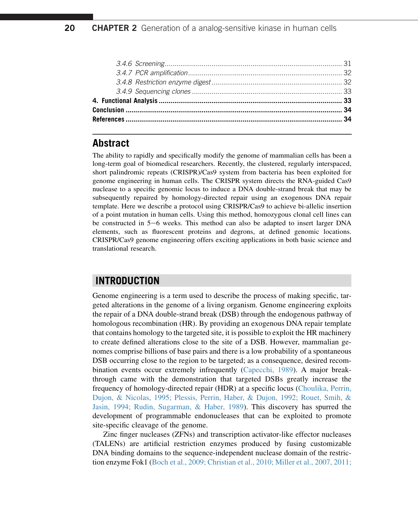# **Abstract**

The ability to rapidly and specifically modify the genome of mammalian cells has been a long-term goal of biomedical researchers. Recently, the clustered, regularly interspaced, short palindromic repeats (CRISPR)/Cas9 system from bacteria has been exploited for genome engineering in human cells. The CRISPR system directs the RNA-guided Cas9 nuclease to a specific genomic locus to induce a DNA double-strand break that may be subsequently repaired by homology-directed repair using an exogenous DNA repair template. Here we describe a protocol using CRISPR/Cas9 to achieve bi-allelic insertion of a point mutation in human cells. Using this method, homozygous clonal cell lines can be constructed in  $5-6$  weeks. This method can also be adapted to insert larger DNA elements, such as fluorescent proteins and degrons, at defined genomic locations. CRISPR/Cas9 genome engineering offers exciting applications in both basic science and translational research.

# **INTRODUCTION**

Genome engineering is a term used to describe the process of making specific, targeted alterations in the genome of a living organism. Genome engineering exploits the repair of a DNA double-strand break (DSB) through the endogenous pathway of homologous recombination (HR). By providing an exogenous DNA repair template that contains homology to the targeted site, it is possible to exploit the HR machinery to create defined alterations close to the site of a DSB. However, mammalian genomes comprise billions of base pairs and there is a low probability of a spontaneous DSB occurring close to the region to be targeted; as a consequence, desired recombination events occur extremely infrequently ([Capecchi, 1989\)](#page-15-0). A major breakthrough came with the demonstration that targeted DSBs greatly increase the frequency of homology-directed repair (HDR) at a specific locus ([Choulika, Perrin,](#page-15-0) [Dujon, & Nicolas, 1995; Plessis, Perrin, Haber, & Dujon, 1992; Rouet, Smih, &](#page-15-0) [Jasin, 1994; Rudin, Sugarman, & Haber, 1989\)](#page-15-0). This discovery has spurred the development of programmable endonucleases that can be exploited to promote site-specific cleavage of the genome.

Zinc finger nucleases (ZFNs) and transcription activator-like effector nucleases (TALENs) are artificial restriction enzymes produced by fusing customizable DNA binding domains to the sequence-independent nuclease domain of the restriction enzyme Fok1 [\(Boch et al., 2009; Christian et al., 2010; Miller et al., 2007, 2011;](#page-15-0)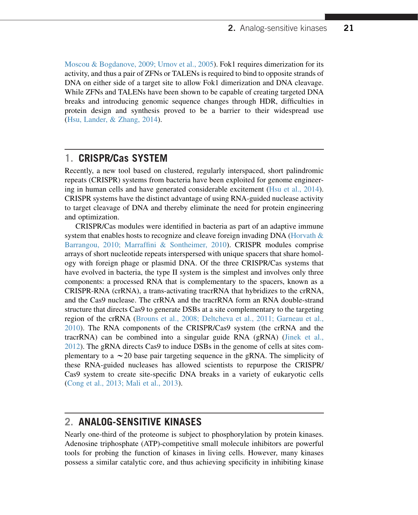[Moscou & Bogdanove, 2009; Urnov et al., 2005\)](#page-15-0). Fok1 requires dimerization for its activity, and thus a pair of ZFNs or TALENs is required to bind to opposite strands of DNA on either side of a target site to allow Fok1 dimerization and DNA cleavage. While ZFNs and TALENs have been shown to be capable of creating targeted DNA breaks and introducing genomic sequence changes through HDR, difficulties in protein design and synthesis proved to be a barrier to their widespread use ([Hsu, Lander, & Zhang, 2014\)](#page-16-0).

# **1. CRISPR/Cas SYSTEM**

Recently, a new tool based on clustered, regularly interspaced, short palindromic repeats (CRISPR) systems from bacteria have been exploited for genome engineering in human cells and have generated considerable excitement ([Hsu et al., 2014\)](#page-16-0). CRISPR systems have the distinct advantage of using RNA-guided nuclease activity to target cleavage of DNA and thereby eliminate the need for protein engineering and optimization.

CRISPR/Cas modules were identified in bacteria as part of an adaptive immune system that enables hosts to recognize and cleave foreign invading DNA (Horvath  $\&$ [Barrangou, 2010; Marraffini & Sontheimer, 2010\)](#page-16-0). CRISPR modules comprise arrays of short nucleotide repeats interspersed with unique spacers that share homology with foreign phage or plasmid DNA. Of the three CRISPR/Cas systems that have evolved in bacteria, the type II system is the simplest and involves only three components: a processed RNA that is complementary to the spacers, known as a CRISPR-RNA (crRNA), a trans-activating tracrRNA that hybridizes to the crRNA, and the Cas9 nuclease. The crRNA and the tracrRNA form an RNA double-strand structure that directs Cas9 to generate DSBs at a site complementary to the targeting region of the crRNA ([Brouns et al., 2008; Deltcheva et al., 2011; Garneau et al.,](#page-15-0) [2010\)](#page-15-0). The RNA components of the CRISPR/Cas9 system (the crRNA and the tracrRNA) can be combined into a singular guide RNA (gRNA) [\(Jinek et al.,](#page-16-0) [2012\)](#page-16-0). The gRNA directs Cas9 to induce DSBs in the genome of cells at sites complementary to a  $\sim$  20 base pair targeting sequence in the gRNA. The simplicity of these RNA-guided nucleases has allowed scientists to repurpose the CRISPR/ Cas9 system to create site-specific DNA breaks in a variety of eukaryotic cells ([Cong et al., 2013; Mali et al., 2013](#page-15-0)).

# **2. ANALOG-SENSITIVE KINASES**

Nearly one-third of the proteome is subject to phosphorylation by protein kinases. Adenosine triphosphate (ATP)-competitive small molecule inhibitors are powerful tools for probing the function of kinases in living cells. However, many kinases possess a similar catalytic core, and thus achieving specificity in inhibiting kinase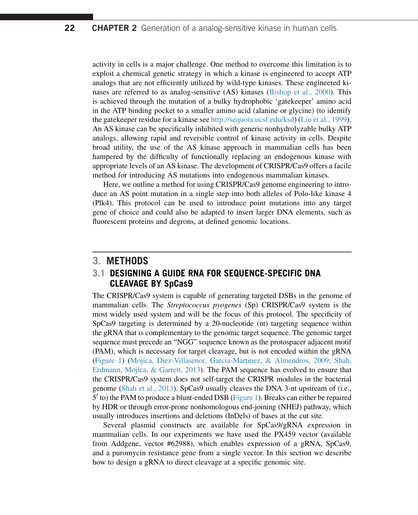activity in cells is a major challenge. One method to overcome this limitation is to exploit a chemical genetic strategy in which a kinase is engineered to accept ATP analogs that are not efficiently utilized by wild-type kinases. These engineered kinases are referred to as analog-sensitive (AS) kinases ([Bishop et al., 2000\)](#page-15-0). This is achieved through the mutation of a bulky hydrophobic 'gatekeeper' amino acid in the ATP binding pocket to a smaller amino acid (alanine or glycine) (to identify the gatekeeper residue for a kinase see <http://sequoia.ucsf.edu/ksd>) ([Liu et al., 1999](#page-16-0)). An AS kinase can be specifically inhibited with generic nonhydrolyzable bulky ATP analogs, allowing rapid and reversible control of kinase activity in cells. Despite broad utility, the use of the AS kinase approach in mammalian cells has been hampered by the difficulty of functionally replacing an endogenous kinase with appropriate levels of an AS kinase. The development of CRISPR/Cas9 offers a facile method for introducing AS mutations into endogenous mammalian kinases.

Here, we outline a method for using CRISPR/Cas9 genome engineering to introduce an AS point mutation in a single step into both alleles of Polo-like kinase 4 (Plk4). This protocol can be used to introduce point mutations into any target gene of choice and could also be adapted to insert larger DNA elements, such as fluorescent proteins and degrons, at defined genomic locations.

#### **3. METHODS**

#### **3.1 DESIGNING A GUIDE RNA FOR SEQUENCE-SPECIFIC DNA CLEAVAGE BY SpCas9**

The CRISPR/Cas9 system is capable of generating targeted DSBs in the genome of mammalian cells. The Streptococcus pyogenes (Sp) CRISPR/Cas9 system is the most widely used system and will be the focus of this protocol. The specificity of SpCas9 targeting is determined by a 20-nucleotide (nt) targeting sequence within the gRNA that is complementary to the genomic target sequence. The genomic target sequence must precede an "NGG" sequence known as the protospacer adjacent motif (PAM), which is necessary for target cleavage, but is not encoded within the gRNA ([Figure 1\)](#page-4-0) [\(Mojica, Diez-Villasenor, Garcia-Martinez, & Almendros, 2009; Shah,](#page-16-0) [Erdmann, Mojica, & Garrett, 2013\)](#page-16-0). The PAM sequence has evolved to ensure that the CRISPR/Cas9 system does not self-target the CRISPR modules in the bacterial genome [\(Shah et al., 2013](#page-17-0)). SpCas9 usually cleaves the DNA 3-nt upstream of (i.e.,  $5'$  to) the PAM to produce a blunt-ended DSB [\(Figure 1\)](#page-4-0). Breaks can either be repaired by HDR or through error-prone nonhomologous end-joining (NHEJ) pathway, which usually introduces insertions and deletions (InDels) of bases at the cut site.

Several plasmid constructs are available for SpCas9/gRNA expression in mammalian cells. In our experiments we have used the PX459 vector (available from Addgene, vector #62988), which enables expression of a gRNA, SpCas9, and a puromycin resistance gene from a single vector. In this section we describe how to design a gRNA to direct cleavage at a specific genomic site.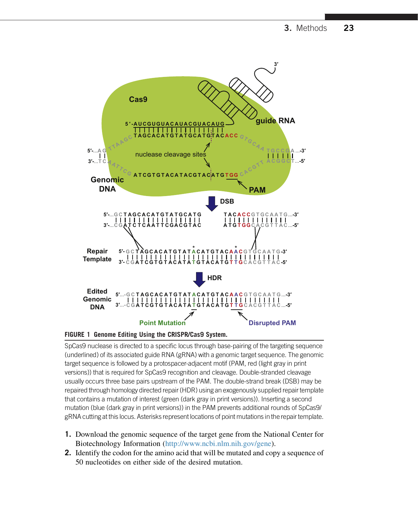<span id="page-4-0"></span>



SpCas9 nuclease is directed to a specific locus through base-pairing of the targeting sequence (underlined) of its associated guide RNA (gRNA) with a genomic target sequence. The genomic target sequence is followed by a protospacer-adjacent motif (PAM, red (light gray in print versions)) that is required for SpCas9 recognition and cleavage. Double-stranded cleavage usually occurs three base pairs upstream of the PAM. The double-strand break (DSB) may be repaired through homology directed repair (HDR) using an exogenously supplied repair template that contains a mutation of interest (green (dark gray in print versions)). Inserting a second mutation (blue (dark gray in print versions)) in the PAM prevents additional rounds of SpCas9/ gRNA cutting at this locus. Asterisks represent locations of point mutations in the repair template.

- **1.** Download the genomic sequence of the target gene from the National Center for Biotechnology Information ([http://www.ncbi.nlm.nih.gov/gene\)](http://www.ncbi.nlm.nih.gov/gene).
- **2.** Identify the codon for the amino acid that will be mutated and copy a sequence of 50 nucleotides on either side of the desired mutation.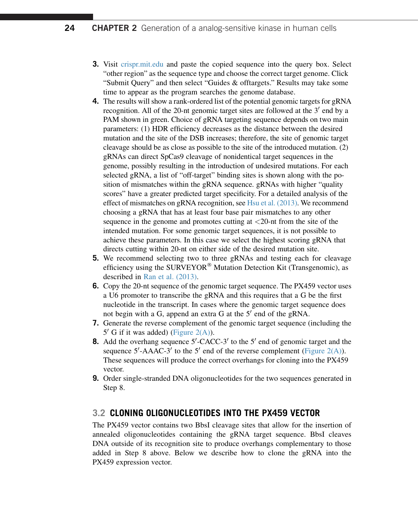- **3.** Visit [crispr.mit.edu](http://crispr.mit.edu) and paste the copied sequence into the query box. Select "other region" as the sequence type and choose the correct target genome. Click "Submit Query" and then select "Guides & offtargets." Results may take some time to appear as the program searches the genome database.
- **4.** The results will show a rank-ordered list of the potential genomic targets for gRNA recognition. All of the 20-nt genomic target sites are followed at the  $3'$  end by a PAM shown in green. Choice of gRNA targeting sequence depends on two main parameters: (1) HDR efficiency decreases as the distance between the desired mutation and the site of the DSB increases; therefore, the site of genomic target cleavage should be as close as possible to the site of the introduced mutation. (2) gRNAs can direct SpCas9 cleavage of nonidentical target sequences in the genome, possibly resulting in the introduction of undesired mutations. For each selected gRNA, a list of "off-target" binding sites is shown along with the position of mismatches within the gRNA sequence. gRNAs with higher "quality scores" have a greater predicted target specificity. For a detailed analysis of the effect of mismatches on gRNA recognition, see [Hsu et al. \(2013\)](#page-16-0). We recommend choosing a gRNA that has at least four base pair mismatches to any other sequence in the genome and promotes cutting at  $\langle 20$ -nt from the site of the intended mutation. For some genomic target sequences, it is not possible to achieve these parameters. In this case we select the highest scoring gRNA that directs cutting within 20-nt on either side of the desired mutation site.
- **5.** We recommend selecting two to three gRNAs and testing each for cleavage efficiency using the  $\text{SURVEYOR}^{\circledR}$  Mutation Detection Kit (Transgenomic), as described in [Ran et al. \(2013\)](#page-16-0).
- **6.** Copy the 20-nt sequence of the genomic target sequence. The PX459 vector uses a U6 promoter to transcribe the gRNA and this requires that a G be the first nucleotide in the transcript. In cases where the genomic target sequence does not begin with a G, append an extra G at the  $5'$  end of the gRNA.
- **7.** Generate the reverse complement of the genomic target sequence (including the  $5'$  G if it was added) ([Figure 2\(A\)\)](#page-6-0).
- **8.** Add the overhang sequence  $5'$ -CACC-3' to the  $5'$  end of genomic target and the sequence  $5'$ -AAAC-3' to the  $5'$  end of the reverse complement ([Figure 2\(A\)\)](#page-6-0). These sequences will produce the correct overhangs for cloning into the PX459 vector.
- **9.** Order single-stranded DNA oligonucleotides for the two sequences generated in Step 8.

# **3.2 CLONING OLIGONUCLEOTIDES INTO THE PX459 VECTOR**

The PX459 vector contains two BbsI cleavage sites that allow for the insertion of annealed oligonucleotides containing the gRNA target sequence. BbsI cleaves DNA outside of its recognition site to produce overhangs complementary to those added in Step 8 above. Below we describe how to clone the gRNA into the PX459 expression vector.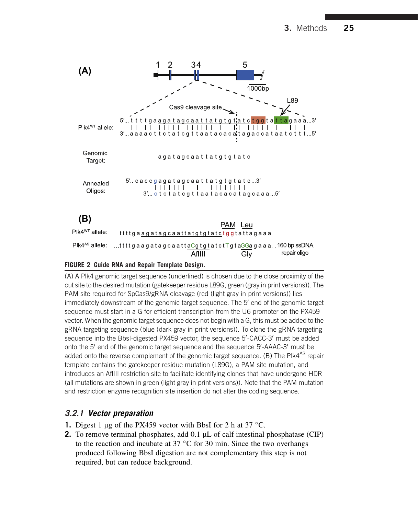<span id="page-6-0"></span>

#### **FIGURE 2 Guide RNA and Repair Template Design.**

(A) A Plk4 genomic target sequence (underlined) is chosen due to the close proximity of the cut site to the desired mutation (gatekeeper residue L89G, green (gray in print versions)). The PAM site required for SpCas9/gRNA cleavage (red (light gray in print versions)) lies immediately downstream of the genomic target sequence. The 5' end of the genomic target sequence must start in a G for efficient transcription from the U6 promoter on the PX459 vector. When the genomic target sequence does not begin with a G, this must be added to the gRNA targeting sequence (blue (dark gray in print versions)). To clone the gRNA targeting sequence into the BbsI-digested PX459 vector, the sequence 5'-CACC-3' must be added onto the 5' end of the genomic target sequence and the sequence 5'-AAAC-3' must be added onto the reverse complement of the genomic target sequence. (B) The PIk4<sup>AS</sup> repair template contains the gatekeeper residue mutation (L89G), a PAM site mutation, and introduces an AflIII restriction site to facilitate identifying clones that have undergone HDR (all mutations are shown in green (light gray in print versions)). Note that the PAM mutation and restriction enzyme recognition site insertion do not alter the coding sequence.

#### **3.2.1 Vector preparation**

- **1.** Digest 1  $\mu$ g of the PX459 vector with BbsI for 2 h at 37 °C.
- **2.** To remove terminal phosphates, add 0.1 µL of calf intestinal phosphatase (CIP) to the reaction and incubate at  $37 \text{ °C}$  for 30 min. Since the two overhangs produced following BbsI digestion are not complementary this step is not required, but can reduce background.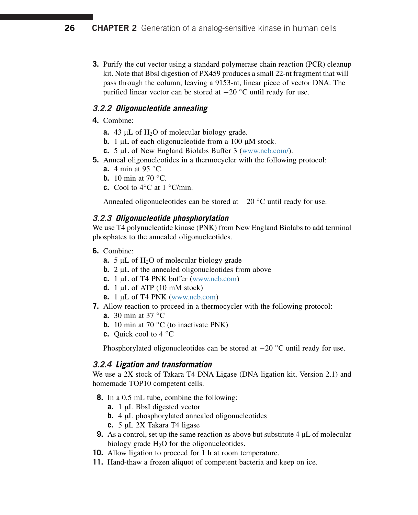**3.** Purify the cut vector using a standard polymerase chain reaction (PCR) cleanup kit. Note that BbsI digestion of PX459 produces a small 22-nt fragment that will pass through the column, leaving a 9153-nt, linear piece of vector DNA. The purified linear vector can be stored at  $-20$  °C until ready for use.

#### **3.2.2 Oligonucleotide annealing**

- **4.** Combine:
	- **a.** 43 µL of H<sub>2</sub>O of molecular biology grade.
	- **b.** 1  $\mu$ L of each oligonucleotide from a 100  $\mu$ M stock.
	- **c.** 5 µL of New England Biolabs Buffer 3 [\(www.neb.com/](http://www.neb.com/)).
- **5.** Anneal oligonucleotides in a thermocycler with the following protocol:
	- **a.** 4 min at 95 °C.
	- **b.** 10 min at 70  $^{\circ}$ C.
	- **c.** Cool to  $4^{\circ}$ C at  $1^{\circ}$ C/min.

Annealed oligonucleotides can be stored at  $-20$  °C until ready for use.

#### **3.2.3 Oligonucleotide phosphorylation**

We use T4 polynucleotide kinase (PNK) from New England Biolabs to add terminal phosphates to the annealed oligonucleotides.

- **6.** Combine:
	- **a.** 5  $\mu$ L of H<sub>2</sub>O of molecular biology grade
	- **b.**  $2 \mu L$  of the annealed oligonucleotides from above
	- **c.** 1 µL of T4 PNK buffer ([www.neb.com](http://www.neb.com))
	- **d.** 1  $\mu$ L of ATP (10 mM stock)
	- **e.**  $1 \mu L$  of T4 PNK ([www.neb.com\)](http://www.neb.com)
- **7.** Allow reaction to proceed in a thermocycler with the following protocol:
	- **a.** 30 min at 37 °C
	- **b.** 10 min at 70 $\degree$ C (to inactivate PNK)
	- **c.** Quick cool to 4 °C

Phosphorylated oligonucleotides can be stored at  $-20$  °C until ready for use.

#### **3.2.4 Ligation and transformation**

We use a 2X stock of Takara T4 DNA Ligase (DNA ligation kit, Version 2.1) and homemade TOP10 competent cells.

- **8.** In a 0.5 mL tube, combine the following:
	- **a.** 1  $\mu$ L BbsI digested vector
	- **b.** 4  $\mu$ L phosphorylated annealed oligonucleotides
	- **c.** 5 μL 2X Takara T4 ligase
- **9.** As a control, set up the same reaction as above but substitute  $4 \mu L$  of molecular biology grade  $H_2O$  for the oligonucleotides.
- **10.** Allow ligation to proceed for 1 h at room temperature.
- **11.** Hand-thaw a frozen aliquot of competent bacteria and keep on ice.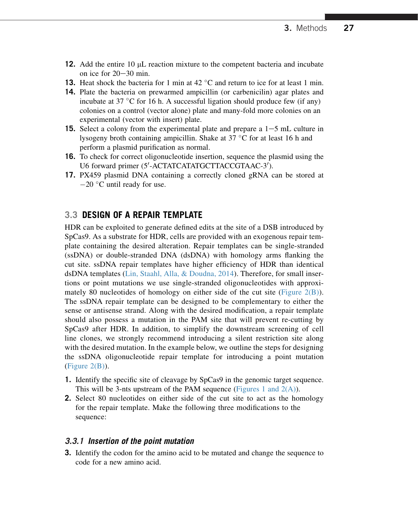- **12.** Add the entire 10 µL reaction mixture to the competent bacteria and incubate on ice for  $20-30$  min.
- **13.** Heat shock the bacteria for 1 min at 42  $^{\circ}$ C and return to ice for at least 1 min.
- **14.** Plate the bacteria on prewarmed ampicillin (or carbenicilin) agar plates and incubate at 37  $\mathrm{^{\circ}C}$  for 16 h. A successful ligation should produce few (if any) colonies on a control (vector alone) plate and many-fold more colonies on an experimental (vector with insert) plate.
- **15.** Select a colony from the experimental plate and prepare a  $1-5$  mL culture in lysogeny broth containing ampicillin. Shake at  $37 \text{ °C}$  for at least 16 h and perform a plasmid purification as normal.
- **16.** To check for correct oligonucleotide insertion, sequence the plasmid using the U6 forward primer (5'-ACTATCATATGCTTACCGTAAC-3').
- **17.** PX459 plasmid DNA containing a correctly cloned gRNA can be stored at  $-20$  °C until ready for use.

#### **3.3 DESIGN OF A REPAIR TEMPLATE**

HDR can be exploited to generate defined edits at the site of a DSB introduced by SpCas9. As a substrate for HDR, cells are provided with an exogenous repair template containing the desired alteration. Repair templates can be single-stranded (ssDNA) or double-stranded DNA (dsDNA) with homology arms flanking the cut site. ssDNA repair templates have higher efficiency of HDR than identical dsDNA templates ([Lin, Staahl, Alla, & Doudna, 2014](#page-16-0)). Therefore, for small insertions or point mutations we use single-stranded oligonucleotides with approximately 80 nucleotides of homology on either side of the cut site (Figure  $2(B)$ ). The ssDNA repair template can be designed to be complementary to either the sense or antisense strand. Along with the desired modification, a repair template should also possess a mutation in the PAM site that will prevent re-cutting by SpCas9 after HDR. In addition, to simplify the downstream screening of cell line clones, we strongly recommend introducing a silent restriction site along with the desired mutation. In the example below, we outline the steps for designing the ssDNA oligonucleotide repair template for introducing a point mutation  $(Figure 2(B)).$  $(Figure 2(B)).$  $(Figure 2(B)).$ 

- **1.** Identify the specific site of cleavage by SpCas9 in the genomic target sequence. This will be 3-nts upstream of the PAM sequence (Figures 1 and  $2(A)$ ).
- **2.** Select 80 nucleotides on either side of the cut site to act as the homology for the repair template. Make the following three modifications to the sequence:

#### **3.3.1 Insertion of the point mutation**

**3.** Identify the codon for the amino acid to be mutated and change the sequence to code for a new amino acid.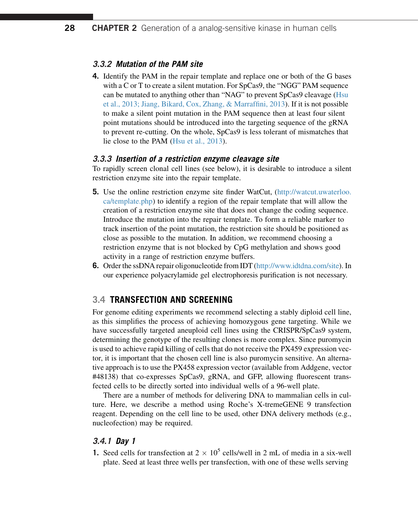#### **3.3.2 Mutation of the PAM site**

**4.** Identify the PAM in the repair template and replace one or both of the G bases with a C or T to create a silent mutation. For SpCas9, the "NGG" PAM sequence can be mutated to anything other than "NAG" to prevent SpCas9 cleavage [\(Hsu](#page-16-0) [et al., 2013; Jiang, Bikard, Cox, Zhang, & Marraffini, 2013\)](#page-16-0). If it is not possible to make a silent point mutation in the PAM sequence then at least four silent point mutations should be introduced into the targeting sequence of the gRNA to prevent re-cutting. On the whole, SpCas9 is less tolerant of mismatches that lie close to the PAM [\(Hsu et al., 2013\)](#page-16-0).

#### **3.3.3 Insertion of a restriction enzyme cleavage site**

To rapidly screen clonal cell lines (see below), it is desirable to introduce a silent restriction enzyme site into the repair template.

- **5.** Use the online restriction enzyme site finder WatCut, ([http://watcut.uwaterloo.](http://watcut.uwaterloo.ca/template.php) [ca/template.php](http://watcut.uwaterloo.ca/template.php)) to identify a region of the repair template that will allow the creation of a restriction enzyme site that does not change the coding sequence. Introduce the mutation into the repair template. To form a reliable marker to track insertion of the point mutation, the restriction site should be positioned as close as possible to the mutation. In addition, we recommend choosing a restriction enzyme that is not blocked by CpG methylation and shows good activity in a range of restriction enzyme buffers.
- **6.** Order the ssDNA repair oligonucleotide from IDT (<http://www.idtdna.com/site>). In our experience polyacrylamide gel electrophoresis purification is not necessary.

#### **3.4 TRANSFECTION AND SCREENING**

For genome editing experiments we recommend selecting a stably diploid cell line, as this simplifies the process of achieving homozygous gene targeting. While we have successfully targeted aneuploid cell lines using the CRISPR/SpCas9 system, determining the genotype of the resulting clones is more complex. Since puromycin is used to achieve rapid killing of cells that do not receive the PX459 expression vector, it is important that the chosen cell line is also puromycin sensitive. An alternative approach is to use the PX458 expression vector (available from Addgene, vector #48138) that co-expresses SpCas9, gRNA, and GFP, allowing fluorescent transfected cells to be directly sorted into individual wells of a 96-well plate.

There are a number of methods for delivering DNA to mammalian cells in culture. Here, we describe a method using Roche's X-tremeGENE 9 transfection reagent. Depending on the cell line to be used, other DNA delivery methods (e.g., nucleofection) may be required.

#### **3.4.1 Day 1**

**1.** Seed cells for transfection at  $2 \times 10^5$  cells/well in 2 mL of media in a six-well plate. Seed at least three wells per transfection, with one of these wells serving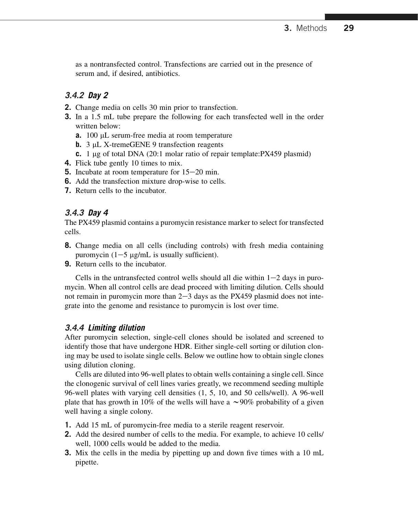as a nontransfected control. Transfections are carried out in the presence of serum and, if desired, antibiotics.

#### **3.4.2 Day 2**

- **2.** Change media on cells 30 min prior to transfection.
- **3.** In a 1.5 mL tube prepare the following for each transfected well in the order written below:
	- **a.** 100 µL serum-free media at room temperature
	- **b.** 3 µL X-tremeGENE 9 transfection reagents
	- **c.** 1 µg of total DNA (20:1 molar ratio of repair template:PX459 plasmid)
- **4.** Flick tube gently 10 times to mix.
- **5.** Incubate at room temperature for  $15-20$  min.
- **6.** Add the transfection mixture drop-wise to cells.
- **7.** Return cells to the incubator.

#### **3.4.3 Day 4**

The PX459 plasmid contains a puromycin resistance marker to select for transfected cells.

- **8.** Change media on all cells (including controls) with fresh media containing puromycin  $(1-5 \mu g/mL)$  is usually sufficient).
- **9.** Return cells to the incubator.

Cells in the untransfected control wells should all die within  $1-2$  days in puromycin. When all control cells are dead proceed with limiting dilution. Cells should not remain in puromycin more than  $2-3$  days as the PX459 plasmid does not integrate into the genome and resistance to puromycin is lost over time.

#### **3.4.4 Limiting dilution**

After puromycin selection, single-cell clones should be isolated and screened to identify those that have undergone HDR. Either single-cell sorting or dilution cloning may be used to isolate single cells. Below we outline how to obtain single clones using dilution cloning.

Cells are diluted into 96-well plates to obtain wells containing a single cell. Since the clonogenic survival of cell lines varies greatly, we recommend seeding multiple 96-well plates with varying cell densities (1, 5, 10, and 50 cells/well). A 96-well plate that has growth in 10% of the wells will have a  $\sim$ 90% probability of a given well having a single colony.

- **1.** Add 15 mL of puromycin-free media to a sterile reagent reservoir.
- **2.** Add the desired number of cells to the media. For example, to achieve 10 cells/ well, 1000 cells would be added to the media.
- **3.** Mix the cells in the media by pipetting up and down five times with a 10 mL pipette.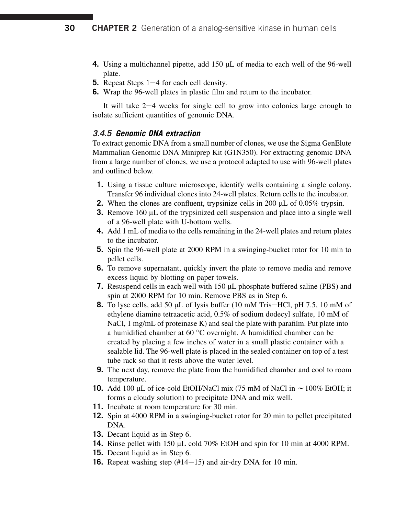- **4.** Using a multichannel pipette, add 150  $\mu$ L of media to each well of the 96-well plate.
- **5.** Repeat Steps 1–4 for each cell density.
- **6.** Wrap the 96-well plates in plastic film and return to the incubator.

It will take  $2-4$  weeks for single cell to grow into colonies large enough to isolate sufficient quantities of genomic DNA.

#### **3.4.5 Genomic DNA extraction**

To extract genomic DNA from a small number of clones, we use the Sigma GenElute Mammalian Genomic DNA Miniprep Kit (G1N350). For extracting genomic DNA from a large number of clones, we use a protocol adapted to use with 96-well plates and outlined below.

- **1.** Using a tissue culture microscope, identify wells containing a single colony. Transfer 96 individual clones into 24-well plates. Return cells to the incubator.
- **2.** When the clones are confluent, trypsinize cells in 200  $\mu$ L of 0.05% trypsin.
- **3.** Remove 160 µL of the trypsinized cell suspension and place into a single well of a 96-well plate with U-bottom wells.
- **4.** Add 1 mL of media to the cells remaining in the 24-well plates and return plates to the incubator.
- **5.** Spin the 96-well plate at 2000 RPM in a swinging-bucket rotor for 10 min to pellet cells.
- **6.** To remove supernatant, quickly invert the plate to remove media and remove excess liquid by blotting on paper towels.
- **7.** Resuspend cells in each well with  $150 \mu L$  phosphate buffered saline (PBS) and spin at 2000 RPM for 10 min. Remove PBS as in Step 6.
- **8.** To lyse cells, add 50  $\mu$ L of lysis buffer (10 mM Tris-HCl, pH 7.5, 10 mM of ethylene diamine tetraacetic acid, 0.5% of sodium dodecyl sulfate, 10 mM of NaCl, 1 mg/mL of proteinase K) and seal the plate with parafilm. Put plate into a humidified chamber at 60  $\mathrm{^{\circ}C}$  overnight. A humidified chamber can be created by placing a few inches of water in a small plastic container with a sealable lid. The 96-well plate is placed in the sealed container on top of a test tube rack so that it rests above the water level.
- **9.** The next day, remove the plate from the humidified chamber and cool to room temperature.
- **10.** Add 100 µL of ice-cold EtOH/NaCl mix (75 mM of NaCl in  $\sim$  100% EtOH; it forms a cloudy solution) to precipitate DNA and mix well.
- **11.** Incubate at room temperature for 30 min.
- **12.** Spin at 4000 RPM in a swinging-bucket rotor for 20 min to pellet precipitated DNA.
- **13.** Decant liquid as in Step 6.
- **14.** Rinse pellet with 150 µL cold 70% EtOH and spin for 10 min at 4000 RPM.
- **15.** Decant liquid as in Step 6.
- **16.** Repeat washing step  $(\text{\#}14-15)$  and air-dry DNA for 10 min.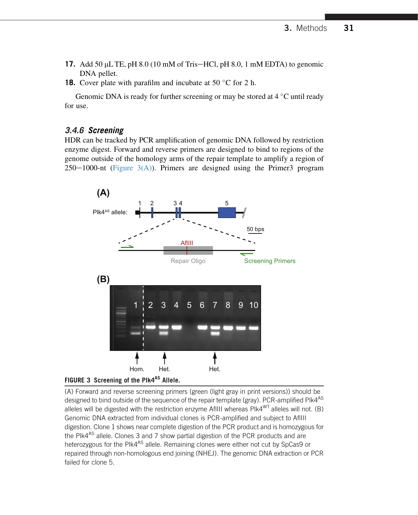- <span id="page-12-0"></span>**17.** Add 50  $\mu$ L TE, pH 8.0 (10 mM of Tris-HCl, pH 8.0, 1 mM EDTA) to genomic DNA pellet.
- **18.** Cover plate with parafilm and incubate at 50  $\degree$ C for 2 h.

Genomic DNA is ready for further screening or may be stored at  $4^{\circ}$ C until ready for use.

#### **3.4.6 Screening**

HDR can be tracked by PCR amplification of genomic DNA followed by restriction enzyme digest. Forward and reverse primers are designed to bind to regions of the genome outside of the homology arms of the repair template to amplify a region of  $250-1000$ -nt (Figure 3(A)). Primers are designed using the Primer3 program





(A) Forward and reverse screening primers (green (light gray in print versions)) should be designed to bind outside of the sequence of the repair template (gray). PCR-amplified Plk4<sup>AS</sup> alleles will be digested with the restriction enzyme AflIII whereas PIk4<sup>WT</sup> alleles will not. (B) Genomic DNA extracted from individual clones is PCR-amplified and subject to AflIII digestion. Clone 1 shows near complete digestion of the PCR product and is homozygous for the PIk4<sup>AS</sup> allele. Clones 3 and 7 show partial digestion of the PCR products and are heterozygous for the PIk4<sup>AS</sup> allele. Remaining clones were either not cut by SpCas9 or repaired through non-homologous end joining (NHEJ). The genomic DNA extraction or PCR failed for clone 5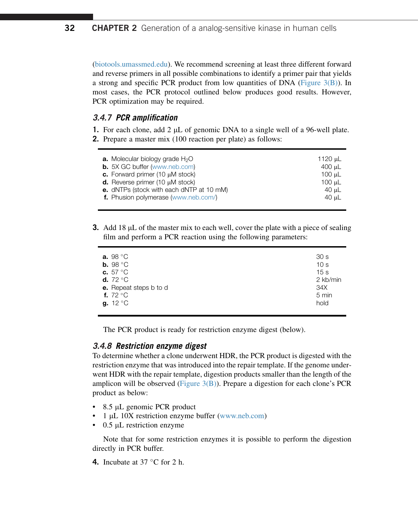([biotools.umassmed.edu\)](http://biotools.umassmed.edu). We recommend screening at least three different forward and reverse primers in all possible combinations to identify a primer pair that yields a strong and specific PCR product from low quantities of DNA (Figure  $3(B)$ ). In most cases, the PCR protocol outlined below produces good results. However, PCR optimization may be required.

#### **3.4.7 PCR amplification**

**1.** For each clone, add 2  $\mu$ L of genomic DNA to a single well of a 96-well plate. **2.** Prepare a master mix (100 reaction per plate) as follows:

| <b>a.</b> Molecular biology grade $H_2O$<br><b>b.</b> 5X GC buffer (www.neb.com)<br>c. Forward primer $(10 \mu M$ stock)<br><b>d.</b> Reverse primer $(10 \mu M$ stock)<br>e. dNTPs (stock with each dNTP at 10 mM)<br>f. Phusion polymerase (www.neb.com/) | 1120 µL<br>400 uL<br>100 uL<br>100 uL<br>40 µL<br>40 uL |
|-------------------------------------------------------------------------------------------------------------------------------------------------------------------------------------------------------------------------------------------------------------|---------------------------------------------------------|
|                                                                                                                                                                                                                                                             |                                                         |
|                                                                                                                                                                                                                                                             |                                                         |

**3.** Add 18  $\mu$ L of the master mix to each well, cover the plate with a piece of sealing film and perform a PCR reaction using the following parameters:

| a. $98 °C$             | 30 <sub>s</sub> |
|------------------------|-----------------|
| b. 98 $\degree$ C      | 10 <sub>s</sub> |
| c. $57^{\circ}$ C      | 15 <sub>s</sub> |
| d. $72^{\circ}$ C      | 2 kb/min        |
| e. Repeat steps b to d | 34X             |
| f. $72^{\circ}$ C      | 5 min           |
| g. $12^{\circ}$ C      | hold            |
|                        |                 |

The PCR product is ready for restriction enzyme digest (below).

#### **3.4.8 Restriction enzyme digest**

To determine whether a clone underwent HDR, the PCR product is digested with the restriction enzyme that was introduced into the repair template. If the genome underwent HDR with the repair template, digestion products smaller than the length of the amplicon will be observed (Figure  $3(B)$ ). Prepare a digestion for each clone's PCR product as below:

- 8.5 μL genomic PCR product
- 1 mL 10X restriction enzyme buffer [\(www.neb.com\)](http://www.neb.com)
- $0.5$  µL restriction enzyme

Note that for some restriction enzymes it is possible to perform the digestion directly in PCR buffer.

**4.** Incubate at  $37^{\circ}$ C for 2 h.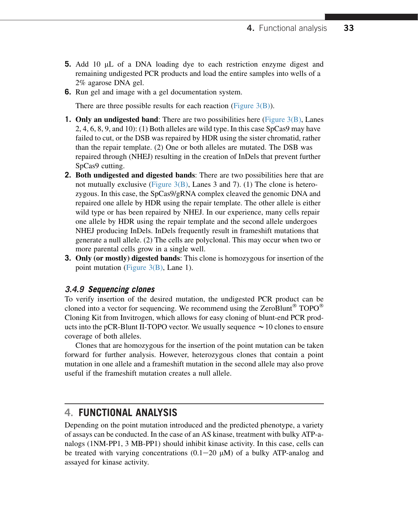- **5.** Add 10 µL of a DNA loading dye to each restriction enzyme digest and remaining undigested PCR products and load the entire samples into wells of a 2% agarose DNA gel.
- **6.** Run gel and image with a gel documentation system.

There are three possible results for each reaction (Figure  $3(B)$ ).

- **1. Only an undigested band:** There are two possibilities here [\(Figure 3\(B\)](#page-12-0), Lanes 2, 4, 6, 8, 9, and 10): (1) Both alleles are wild type. In this case SpCas9 may have failed to cut, or the DSB was repaired by HDR using the sister chromatid, rather than the repair template. (2) One or both alleles are mutated. The DSB was repaired through (NHEJ) resulting in the creation of InDels that prevent further SpCas9 cutting.
- **2.** Both undigested and digested bands: There are two possibilities here that are not mutually exclusive (Figure  $3(B)$ , Lanes 3 and 7). (1) The clone is heterozygous. In this case, the SpCas9/gRNA complex cleaved the genomic DNA and repaired one allele by HDR using the repair template. The other allele is either wild type or has been repaired by NHEJ. In our experience, many cells repair one allele by HDR using the repair template and the second allele undergoes NHEJ producing InDels. InDels frequently result in frameshift mutations that generate a null allele. (2) The cells are polyclonal. This may occur when two or more parental cells grow in a single well.
- **3.** Only (or mostly) digested bands: This clone is homozygous for insertion of the point mutation (Figure  $3(B)$ , Lane 1).

#### **3.4.9 Sequencing clones**

To verify insertion of the desired mutation, the undigested PCR product can be cloned into a vector for sequencing. We recommend using the ZeroBlunt<sup>®</sup> TOPO<sup>®</sup> Cloning Kit from Invitrogen, which allows for easy cloning of blunt-end PCR products into the pCR-Blunt II-TOPO vector. We usually sequence  $\sim$  10 clones to ensure coverage of both alleles.

Clones that are homozygous for the insertion of the point mutation can be taken forward for further analysis. However, heterozygous clones that contain a point mutation in one allele and a frameshift mutation in the second allele may also prove useful if the frameshift mutation creates a null allele.

## **4. FUNCTIONAL ANALYSIS**

Depending on the point mutation introduced and the predicted phenotype, a variety of assays can be conducted. In the case of an AS kinase, treatment with bulky ATP-analogs (1NM-PP1, 3 MB-PP1) should inhibit kinase activity. In this case, cells can be treated with varying concentrations  $(0.1-20 \mu M)$  of a bulky ATP-analog and assayed for kinase activity.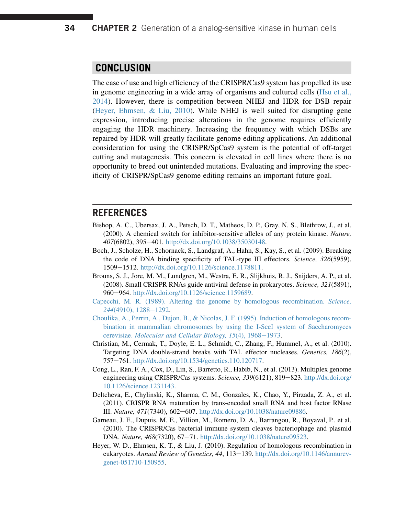## <span id="page-15-0"></span>**CONCLUSION**

The ease of use and high efficiency of the CRISPR/Cas9 system has propelled its use in genome engineering in a wide array of organisms and cultured cells ([Hsu et al.,](#page-16-0) [2014\)](#page-16-0). However, there is competition between NHEJ and HDR for DSB repair (Heyer, Ehmsen, & Liu, 2010). While NHEJ is well suited for disrupting gene expression, introducing precise alterations in the genome requires efficiently engaging the HDR machinery. Increasing the frequency with which DSBs are repaired by HDR will greatly facilitate genome editing applications. An additional consideration for using the CRISPR/SpCas9 system is the potential of off-target cutting and mutagenesis. This concern is elevated in cell lines where there is no opportunity to breed out unintended mutations. Evaluating and improving the specificity of CRISPR/SpCas9 genome editing remains an important future goal.

#### **REFERENCES**

- Bishop, A. C., Ubersax, J. A., Petsch, D. T., Matheos, D. P., Gray, N. S., Blethrow, J., et al. (2000). A chemical switch for inhibitor-sensitive alleles of any protein kinase. Nature, 407(6802), 395-401. [http://dx.doi.org/10.1038/35030148.](http://dx.doi.org/10.1038/35030148)
- Boch, J., Scholze, H., Schornack, S., Landgraf, A., Hahn, S., Kay, S., et al. (2009). Breaking the code of DNA binding specificity of TAL-type III effectors. Science, 326(5959), 1509-1512. [http://dx.doi.org/10.1126/science.1178811.](http://dx.doi.org/10.1126/science.1178811)
- Brouns, S. J., Jore, M. M., Lundgren, M., Westra, E. R., Slijkhuis, R. J., Snijders, A. P., et al. (2008). Small CRISPR RNAs guide antiviral defense in prokaryotes. Science, 321(5891), 960–964. [http://dx.doi.org/10.1126/science.1159689.](http://dx.doi.org/10.1126/science.1159689)
- [Capecchi, M. R. \(1989\). Altering the genome by homologous recombination.](http://refhub.elsevier.com/S0091-679X(15)00103-X/ref0025) Science, 244[\(4910\), 1288](http://refhub.elsevier.com/S0091-679X(15)00103-X/ref0025)-[1292](http://refhub.elsevier.com/S0091-679X(15)00103-X/ref0025).
- [Choulika, A., Perrin, A., Dujon, B., & Nicolas, J. F. \(1995\). Induction of homologous recom](http://refhub.elsevier.com/S0091-679X(15)00103-X/ref0030)[bination in mammalian chromosomes by using the I-SceI system of Saccharomyces](http://refhub.elsevier.com/S0091-679X(15)00103-X/ref0030) cerevisiae. Molecular and Cellular Biology,  $15(4)$ ,  $1968-1973$ .
- Christian, M., Cermak, T., Doyle, E. L., Schmidt, C., Zhang, F., Hummel, A., et al. (2010). Targeting DNA double-strand breaks with TAL effector nucleases. Genetics, 186(2), 757-761. [http://dx.doi.org/10.1534/genetics.110.120717.](http://dx.doi.org/10.1534/genetics.110.120717)
- Cong, L., Ran, F. A., Cox, D., Lin, S., Barretto, R., Habib, N., et al. (2013). Multiplex genome engineering using CRISPR/Cas systems. Science, 339(6121), 819-823. [http://dx.doi.org/](http://dx.doi.org/10.1126/science.1231143) [10.1126/science.1231143](http://dx.doi.org/10.1126/science.1231143).
- Deltcheva, E., Chylinski, K., Sharma, C. M., Gonzales, K., Chao, Y., Pirzada, Z. A., et al. (2011). CRISPR RNA maturation by trans-encoded small RNA and host factor RNase III. Nature, 471(7340), 602-607. <http://dx.doi.org/10.1038/nature09886>.
- Garneau, J. E., Dupuis, M. E., Villion, M., Romero, D. A., Barrangou, R., Boyaval, P., et al. (2010). The CRISPR/Cas bacterial immune system cleaves bacteriophage and plasmid DNA. Nature, 468(7320), 67-71. <http://dx.doi.org/10.1038/nature09523>.
- Heyer, W. D., Ehmsen, K. T., & Liu, J. (2010). Regulation of homologous recombination in eukaryotes. Annual Review of Genetics, 44, 113–139. [http://dx.doi.org/10.1146/annurev](http://dx.doi.org/10.1146/annurev-genet-051710-150955)[genet-051710-150955.](http://dx.doi.org/10.1146/annurev-genet-051710-150955)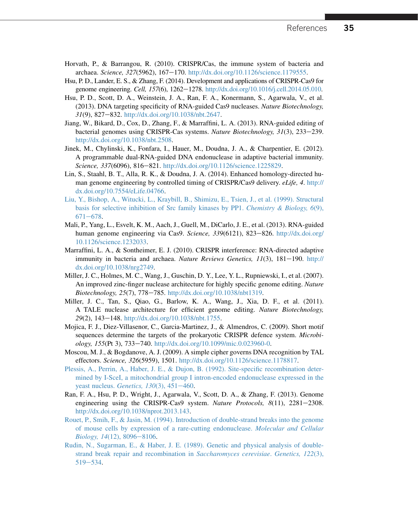- <span id="page-16-0"></span>Horvath, P., & Barrangou, R. (2010). CRISPR/Cas, the immune system of bacteria and archaea. Science, 327(5962), 167-170. <http://dx.doi.org/10.1126/science.1179555>.
- Hsu, P. D., Lander, E. S., & Zhang, F. (2014). Development and applications of CRISPR-Cas9 for genome engineering. Cell, 157(6), 1262–1278. <http://dx.doi.org/10.1016/j.cell.2014.05.010>.
- Hsu, P. D., Scott, D. A., Weinstein, J. A., Ran, F. A., Konermann, S., Agarwala, V., et al. (2013). DNA targeting specificity of RNA-guided Cas9 nucleases. Nature Biotechnology, 31(9), 827-832. [http://dx.doi.org/10.1038/nbt.2647.](http://dx.doi.org/10.1038/nbt.2647)
- Jiang, W., Bikard, D., Cox, D., Zhang, F., & Marraffini, L. A. (2013). RNA-guided editing of bacterial genomes using CRISPR-Cas systems. Nature Biotechnology, 31(3), 233–239. [http://dx.doi.org/10.1038/nbt.2508.](http://dx.doi.org/10.1038/nbt.2508)
- Jinek, M., Chylinski, K., Fonfara, I., Hauer, M., Doudna, J. A., & Charpentier, E. (2012). A programmable dual-RNA-guided DNA endonuclease in adaptive bacterial immunity. Science, 337(6096), 816-821. [http://dx.doi.org/10.1126/science.1225829.](http://dx.doi.org/10.1126/science.1225829)
- Lin, S., Staahl, B. T., Alla, R. K., & Doudna, J. A. (2014). Enhanced homology-directed human genome engineering by controlled timing of CRISPR/Cas9 delivery. eLife, 4. [http://](http://dx.doi.org/10.7554/eLife.04766) [dx.doi.org/10.7554/eLife.04766](http://dx.doi.org/10.7554/eLife.04766).
- [Liu, Y., Bishop, A., Witucki, L., Kraybill, B., Shimizu, E., Tsien, J., et al. \(1999\). Structural](http://refhub.elsevier.com/S0091-679X(15)00103-X/ref0090) [basis for selective inhibition of Src family kinases by PP1.](http://refhub.elsevier.com/S0091-679X(15)00103-X/ref0090) Chemistry & Biology, 6(9),  $671 - 678.$  $671 - 678.$  $671 - 678.$  $671 - 678.$
- Mali, P., Yang, L., Esvelt, K. M., Aach, J., Guell, M., DiCarlo, J. E., et al. (2013). RNA-guided human genome engineering via Cas9. Science,  $339(6121)$ ,  $823-826$ . [http://dx.doi.org/](http://dx.doi.org/10.1126/science.1232033) [10.1126/science.1232033](http://dx.doi.org/10.1126/science.1232033).
- Marraffini, L. A., & Sontheimer, E. J. (2010). CRISPR interference: RNA-directed adaptive immunity in bacteria and archaea. Nature Reviews Genetics,  $11(3)$ ,  $181-190$ . [http://](http://dx.doi.org/10.1038/nrg2749) [dx.doi.org/10.1038/nrg2749](http://dx.doi.org/10.1038/nrg2749).
- Miller, J. C., Holmes, M. C., Wang, J., Guschin, D. Y., Lee, Y. L., Rupniewski, I., et al. (2007). An improved zinc-finger nuclease architecture for highly specific genome editing. *Nature* Biotechnology, 25(7), 778-785. [http://dx.doi.org/10.1038/nbt1319.](http://dx.doi.org/10.1038/nbt1319)
- Miller, J. C., Tan, S., Qiao, G., Barlow, K. A., Wang, J., Xia, D. F., et al. (2011). A TALE nuclease architecture for efficient genome editing. Nature Biotechnology, 29(2), 143-148. [http://dx.doi.org/10.1038/nbt.1755.](http://dx.doi.org/10.1038/nbt.1755)
- Mojica, F. J., Diez-Villasenor, C., Garcia-Martinez, J., & Almendros, C. (2009). Short motif sequences determine the targets of the prokaryotic CRISPR defence system. Microbiology, 155(Pt 3), 733-740. <http://dx.doi.org/10.1099/mic.0.023960-0>.
- Moscou, M. J., & Bogdanove, A. J. (2009). A simple cipher governs DNA recognition by TAL effectors. Science, 326(5959), 1501. <http://dx.doi.org/10.1126/science.1178817>.
- [Plessis, A., Perrin, A., Haber, J. E., & Dujon, B. \(1992\). Site-specific recombination deter](http://refhub.elsevier.com/S0091-679X(15)00103-X/ref0125)[mined by I-SceI, a mitochondrial group I intron-encoded endonuclease expressed in the](http://refhub.elsevier.com/S0091-679X(15)00103-X/ref0125) [yeast nucleus.](http://refhub.elsevier.com/S0091-679X(15)00103-X/ref0125) Genetics,  $130(3)$ ,  $451-460$  $451-460$ .
- Ran, F. A., Hsu, P. D., Wright, J., Agarwala, V., Scott, D. A., & Zhang, F. (2013). Genome engineering using the CRISPR-Cas9 system. Nature Protocols,  $8(11)$ ,  $2281-2308$ . [http://dx.doi.org/10.1038/nprot.2013.143.](http://dx.doi.org/10.1038/nprot.2013.143)
- [Rouet, P., Smih, F., & Jasin, M. \(1994\). Introduction of double-strand breaks into the genome](http://refhub.elsevier.com/S0091-679X(15)00103-X/ref0135) [of mouse cells by expression of a rare-cutting endonuclease.](http://refhub.elsevier.com/S0091-679X(15)00103-X/ref0135) Molecular and Cellular  $Biology, 14(12), 8096 - 8106.$  $Biology, 14(12), 8096 - 8106.$  $Biology, 14(12), 8096 - 8106.$
- [Rudin, N., Sugarman, E., & Haber, J. E. \(1989\). Genetic and physical analysis of double](http://refhub.elsevier.com/S0091-679X(15)00103-X/ref0140)[strand break repair and recombination in](http://refhub.elsevier.com/S0091-679X(15)00103-X/ref0140) Saccharomyces cerevisiae. Genetics, 122(3), [519](http://refhub.elsevier.com/S0091-679X(15)00103-X/ref0140)-[534](http://refhub.elsevier.com/S0091-679X(15)00103-X/ref0140).